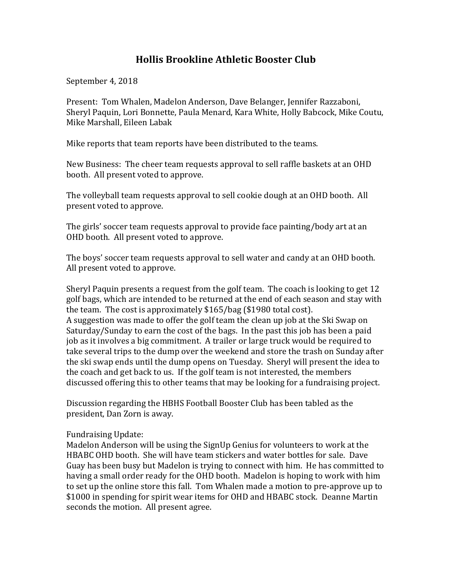## **Hollis Brookline Athletic Booster Club**

September 4, 2018

Present: Tom Whalen, Madelon Anderson, Dave Belanger, Jennifer Razzaboni, Sheryl Paquin, Lori Bonnette, Paula Menard, Kara White, Holly Babcock, Mike Coutu, Mike Marshall, Eileen Labak

Mike reports that team reports have been distributed to the teams.

New Business: The cheer team requests approval to sell raffle baskets at an OHD booth. All present voted to approve.

The volleyball team requests approval to sell cookie dough at an OHD booth. All present voted to approve.

The girls' soccer team requests approval to provide face painting/body art at an OHD booth. All present voted to approve.

The boys' soccer team requests approval to sell water and candy at an OHD booth. All present voted to approve.

Sheryl Paquin presents a request from the golf team. The coach is looking to get 12 golf bags, which are intended to be returned at the end of each season and stay with the team. The cost is approximately  $$165/b$ ag ( $$1980$  total cost).

A suggestion was made to offer the golf team the clean up job at the Ski Swap on Saturday/Sunday to earn the cost of the bags. In the past this job has been a paid job as it involves a big commitment. A trailer or large truck would be required to take several trips to the dump over the weekend and store the trash on Sunday after the ski swap ends until the dump opens on Tuesday. Sheryl will present the idea to the coach and get back to us. If the golf team is not interested, the members discussed offering this to other teams that may be looking for a fundraising project.

Discussion regarding the HBHS Football Booster Club has been tabled as the president, Dan Zorn is away.

Fundraising Update:

Madelon Anderson will be using the SignUp Genius for volunteers to work at the HBABC OHD booth. She will have team stickers and water bottles for sale. Dave Guay has been busy but Madelon is trying to connect with him. He has committed to having a small order ready for the OHD booth. Madelon is hoping to work with him to set up the online store this fall. Tom Whalen made a motion to pre-approve up to \$1000 in spending for spirit wear items for OHD and HBABC stock. Deanne Martin seconds the motion. All present agree.